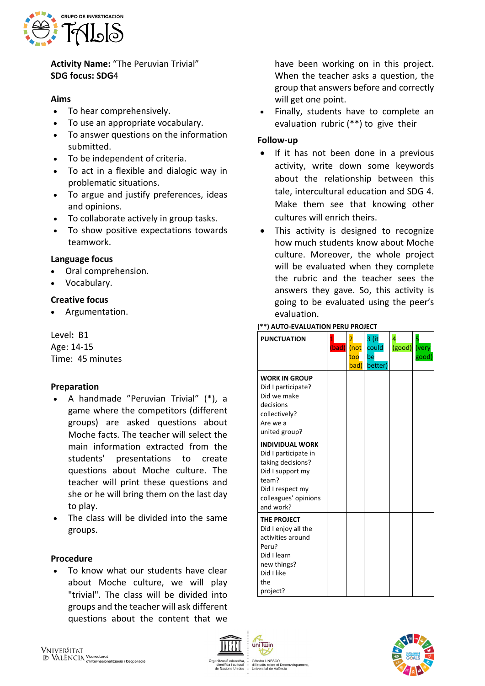

**Activity Name:** "The Peruvian Trivial" **SDG focus: SDG**4

### **Aims**

- To hear comprehensively.
- To use an appropriate vocabulary.
- To answer questions on the information submitted.
- To be independent of criteria.
- To act in a flexible and dialogic way in problematic situations.
- To argue and justify preferences, ideas and opinions.
- To collaborate actively in group tasks.
- To show positive expectations towards teamwork.

#### **Language focus**

- Oral comprehension.
- Vocabulary.

#### **Creative focus**

• Argumentation.

Level**:** B1 Age: 14-15 Time: 45 minutes

#### **Preparation**

- A handmade "Peruvian Trivial" (\*), a game where the competitors (different groups) are asked questions about Moche facts. The teacher will select the main information extracted from the students' presentations to create questions about Moche culture. The teacher will print these questions and she or he will bring them on the last day to play.
- The class will be divided into the same groups.

#### **Procedure**

• To know what our students have clear about Moche culture, we will play "trivial". The class will be divided into groups and the teacher will ask different questions about the content that we

have been working on in this project. When the teacher asks a question, the group that answers before and correctly will get one point.

• Finally, students have to complete an evaluation rubric (\*\*) to give their

## **Follow-up**

- If it has not been done in a previous activity, write down some keywords about the relationship between this tale, intercultural education and SDG 4. Make them see that knowing other cultures will enrich theirs.
- This activity is designed to recognize how much students know about Moche culture. Moreover, the whole project will be evaluated when they complete the rubric and the teacher sees the answers they gave. So, this activity is going to be evaluated using the peer's evaluation.

#### **PUNCTUATION** (bad) 2 (not too bad) 3 (it could be better) 4 (good) 5 ver good) **WORK IN GROUP** Did I participate? Did we make decisions collectively? Are we a united group? **INDIVIDUAL WORK** Did I participate in taking decisions? Did I support my team? Did I respect my colleagues' opinions and work? **THE PROJECT** Did I enjoy all the activities around Peru? Did I learn new things? Did I like the project?



# **(\*\*) AUTO-EVALUATION PERU PROJECT**